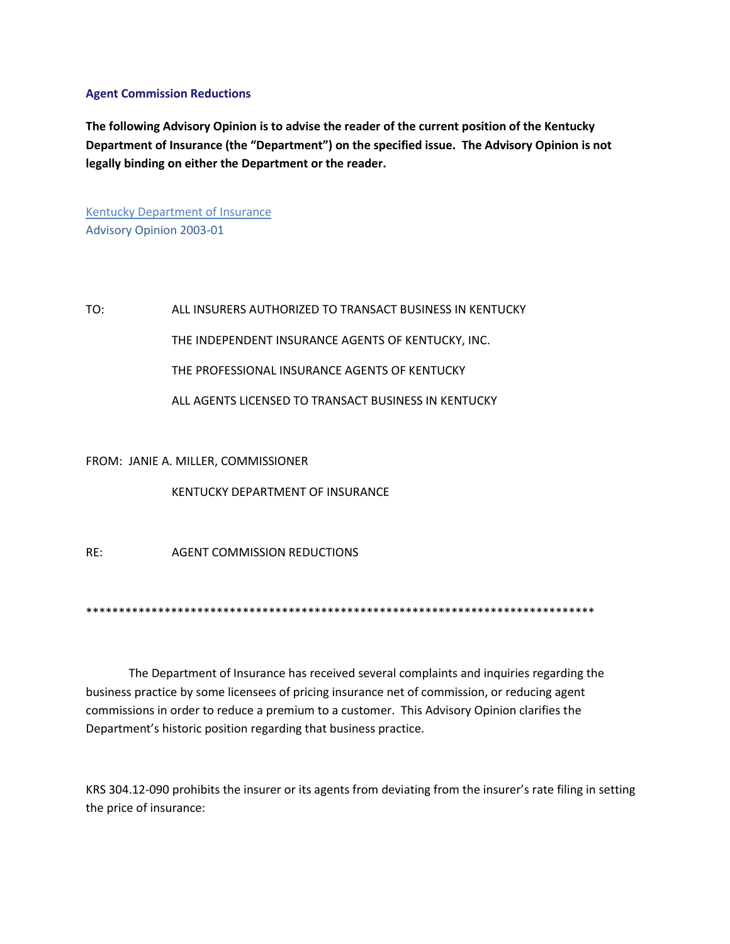## **Agent Commission Reductions**

**The following Advisory Opinion is to advise the reader of the current position of the Kentucky Department of Insurance (the "Department") on the specified issue. The Advisory Opinion is not legally binding on either the Department or the reader.**

Kentucky Department of Insurance Advisory Opinion 2003-01

TO: ALL INSURERS AUTHORIZED TO TRANSACT BUSINESS IN KENTUCKY THE INDEPENDENT INSURANCE AGENTS OF KENTUCKY, INC. THE PROFESSIONAL INSURANCE AGENTS OF KENTUCKY ALL AGENTS LICENSED TO TRANSACT BUSINESS IN KENTUCKY

## FROM: JANIE A. MILLER, COMMISSIONER

KENTUCKY DEPARTMENT OF INSURANCE

RE: AGENT COMMISSION REDUCTIONS

\*\*\*\*\*\*\*\*\*\*\*\*\*\*\*\*\*\*\*\*\*\*\*\*\*\*\*\*\*\*\*\*\*\*\*\*\*\*\*\*\*\*\*\*\*\*\*\*\*\*\*\*\*\*\*\*\*\*\*\*\*\*\*\*\*\*\*\*\*\*\*\*\*\*\*\*\*\*

The Department of Insurance has received several complaints and inquiries regarding the business practice by some licensees of pricing insurance net of commission, or reducing agent commissions in order to reduce a premium to a customer. This Advisory Opinion clarifies the Department's historic position regarding that business practice.

KRS 304.12-090 prohibits the insurer or its agents from deviating from the insurer's rate filing in setting the price of insurance: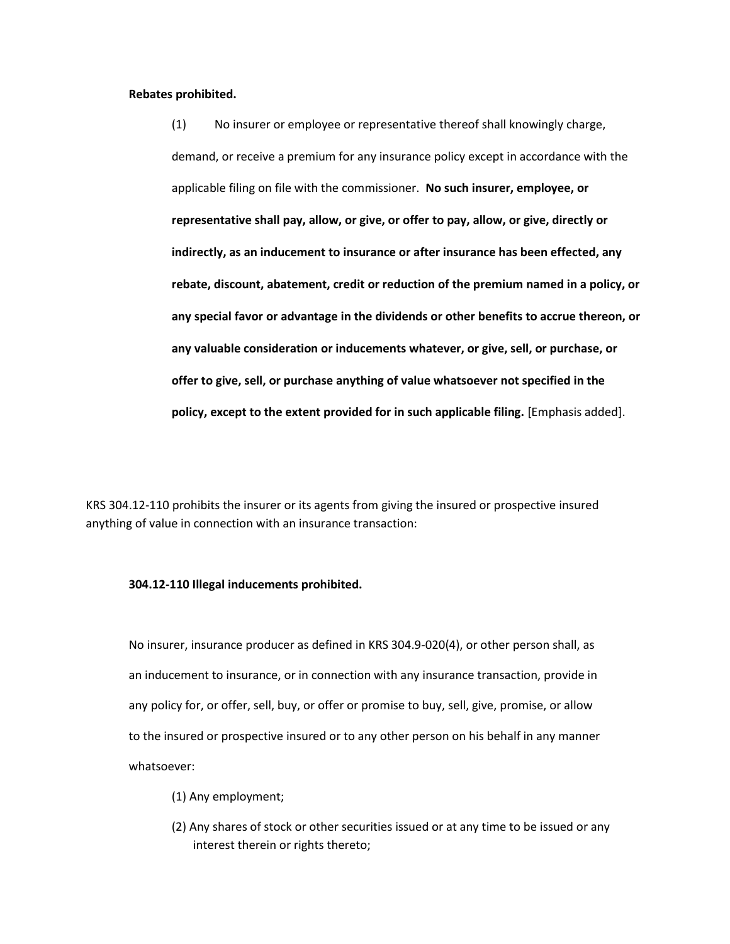## **Rebates prohibited.**

(1) No insurer or employee or representative thereof shall knowingly charge, demand, or receive a premium for any insurance policy except in accordance with the applicable filing on file with the commissioner. **No such insurer, employee, or representative shall pay, allow, or give, or offer to pay, allow, or give, directly or indirectly, as an inducement to insurance or after insurance has been effected, any rebate, discount, abatement, credit or reduction of the premium named in a policy, or any special favor or advantage in the dividends or other benefits to accrue thereon, or any valuable consideration or inducements whatever, or give, sell, or purchase, or offer to give, sell, or purchase anything of value whatsoever not specified in the policy, except to the extent provided for in such applicable filing.** [Emphasis added].

KRS 304.12-110 prohibits the insurer or its agents from giving the insured or prospective insured anything of value in connection with an insurance transaction:

## **304.12-110 Illegal inducements prohibited.**

No insurer, insurance producer as defined in KRS 304.9-020(4), or other person shall, as an inducement to insurance, or in connection with any insurance transaction, provide in any policy for, or offer, sell, buy, or offer or promise to buy, sell, give, promise, or allow to the insured or prospective insured or to any other person on his behalf in any manner whatsoever:

- (1) Any employment;
- (2) Any shares of stock or other securities issued or at any time to be issued or any interest therein or rights thereto;